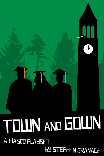# TOLIN AND GOLIN A FIASCO PLAYSET **LY STEPHEN GRANADE**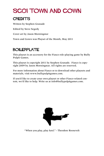# SG01 Town and Gown

#### **CREDITS**

Written by Stephen Granade Edited by Steve Segedy Cover art by Jason Morningstar

Town and Gown was Playset of the Month, May 2011

#### BOILERPLATE

This playset is an accessory for the Fiasco role-playing game by Bully Pulpit Games.

This playset is copyright 2011 by Stephen Granade. Fiasco is copyright 2009 by Jason Morningstar. All rights are reserved.

For more information about Fiasco or to download other playsets and materials, visit [www.bullypulpitgames.com](http://www.bullypulpitgames.com).

If you'd like to create your own playset or other Fiasco-related content, we'd like to help. Write us at [info@bullypulpitgames.com](mailto:info%40bullypulpitgames.com?subject=).



"When you play, play *hard*." - Theodore Roosevelt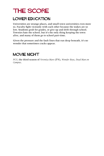# THE SCORE

#### Lower Education

Universities are strange places, and small town universities even more so. Faculty fight viciously with each other because the stakes are so low. Students grub for grades, or give up and drift through school. Townies hate the school, but it's the only thing keeping the town alive, and many of them go to school part-time.

Given the pressure and the fault lines that run deep beneath, it's no wonder that sometimes cracks appear.

#### MOVIE NIGHT

*PCU*, the third season of *Veronica Mars* (TV), *Wonder Boys*, *Dead Man on Campus*.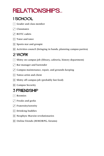# relationships...

#### 1 School

- $\lceil \cdot \rceil$  Grader and class member
- $\Gamma$  Classmates
- $\Gamma$  ROTC cadets
- $\boxed{\therefore}$  Tutor and tutee
- 5 Sports star and groupie
- **11** Activities council (bringing in bands, planning campus parties)

#### 2 Work

- $\cdot$  Shitty on-campus job (library, cafeteria, history department)
- **1.** Bar manager and bartender
- $\cdot$  Campus maintenance, repair, and grounds-keeping
- $\boxed{\therefore}$  Tattoo artist and client
- $\mathbb{E}$  Shitty off-campus job (probably fast food)
- **EI** Campus Security

#### 3 Friendship

- $\lceil \cdot \rceil$  Roomies
- $\Gamma$  Freaks and geeks
- $\Gamma$  Fraternity/sorority
- $\boxed{\therefore}$  Drinking buddies
- $\mathbb{E}$  Neophyte Marxist revolutionaries
- **11** Online friends (MMORPG, forums)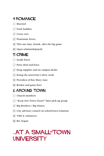#### 4 Romance

- $\lceil \cdot \rceil$  Married
- $\Box$  Fuck buddies
- $\overline{S}$  Crazy exes
- **1**: Passionate lovers
- $\mathbb{E}$  This one time, drunk, after the big game
- $\boxed{\vdots}$  Open relationship/poly

#### 5 Crime

- $\lceil \cdot \rceil$  Grade fixers
- $\Gamma$  Petty thief and fence
- $\ddot{\cdot}$  Drug supplier and on-campus dealer
- $\boxed{\therefore}$  Doing the university's dirty work
- 5 Providers of fine Mary Jane
- **1** Bookie and game fixer

#### 6 Around Town

- $\lceil \cdot \rceil$  Church members
- 2 "Keep Our Town Clean!" litter pick-up group
- $\overline{3}$  Big Brothers / Big Sisters
- $\boxed{\therefore}$  City advisory council on school/town relations
- **5.** YMCA volunteers
- $\overline{B}$  Rec league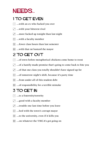### NEEDS...

#### 1 TO GET EVEN

- $\lceil \cdot \rceil$  …with an ex who fucked you over
- $\Gamma$  ...with your bitterest rival
- $\ddot{\cdot}$  ... more fucked up tonight than last night
- $\boxed{\therefore}$  ...with a faculty member
- $\mathbb{E}$  ... fewer class hours than last semester
- **11** …with that rat bastard the mayor

#### 2 TO GET OUT

- $\cdot$  ... of town before metaphorical chickens come home to roost
- 2 …of a hastily-made promise that's going to come back to bite you
- $\overline{3}$  ... of that one class you totally shouldn't have signed up for
- $\boxed{\cdot}$  ... of tomorrow night's shift, because it's party time
- $\mathbb{E}$  ... from under all of this student debt
- **11** ... of responsibility for a terrible mistake

#### 3 TO GET IN

- $\lceil \cdot \rceil$  ...to a fraternity/sorority
- $\Gamma$  ... good with a faculty member
- $\ddot{\cdot}$  ...trouble one last time before you leave
- $\boxed{\therefore}$  ...bed with the town's corrupt mayor
- $\mathbb{E}$  ...to the university, even if it kills you
- **11** ...on whatever the YMCA's got going on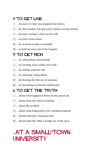#### 4 TO GET LAID

- $\lceil \cdot \rceil$  ... because it's time you popped your cherry
- $\Gamma$  ...by that smokin' hot girl you're always seeing around
- $\overline{3}$  ... because revenge is best served cold
- $\boxed{\therefore}$  ...to relive better times
- $\mathbb{E}$  ...by as many people as possible
- $\mathbf{F}$  ...to hold up your end of the bargain

#### 5 To get rich

- $\cdot$  ...by embezzling school funds
- $\Gamma$  ...by stealing some totally sick stuff
- $\overline{S}$  ...by killing someone old
- $\mathbb{R}$  ...by cheating a drug dealer
- $\mathbb{E}$  ...by beating the shit out of someone
- **11** ...by becoming an Internet millionaire

#### 6 To get the truth

- $\lceil \cdot \rceil$  ...about what happened down by the gravel pit
- $\Gamma$  ... about what the school is hiding
- $\ddot{\cdot}$  ...about the accident
- $\dddot{\mathbf{u}}$  ... about what happened to the vanished students
- 5 …about someone's cheating ways
- **11** ...about what the YMCA people are really up to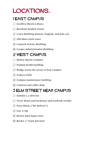# LOCATIONS...

#### 1 East Campus

- $\lceil \cdot \rceil$  Geoffrey Morris Library
- **1** Barnham Student Union
- $\cdot$  Lewis Building (history, English, and poly sci)
- **:: Old Main clock tower**
- **5.** Lamarck Science Building
- **11 Cooper Administration Building**

#### 2 West Campus

- McKay Sports Complex
- $\Gamma$  Student health building
- $\cdot$  Bridge across the ravine to East Campus
- $\left| \right|$  Vickery Field
- $\mathbb{E}$  Campus maintenance building
- **1** Cafeteria and coffee shop

#### 3 Elm Street Near Campus

- $\lceil \cdot \rceil$  Sammy's, a dive bar
- $\Gamma$  Twice Read used bookstore and textbook reseller
- 3 Pizza Shack ("We Deliver!")
- $\boxed{\therefore}$  Gas 'n Sip
- **E** Brown Sack liquor store
- **1** Bucket o' Cluck fast food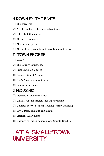#### 4 Down By the River

- $\lceil \cdot \rceil$  The gravel pit
- $\cdot$  An old double-wide trailer (abandoned)
- $\overline{S}$  Inked In tattoo parlor
- $\boxed{\therefore}$  The town junkyard
- $\mathbb{E}$  Pleasures strip club
- **Fi** The back forty (ponds and densely-packed trees)

#### 5 Town Proper

- $\lceil \cdot \rceil$  YMCA
- $\Gamma$  The County Courthouse
- $\overline{S}$  First Christian Church
- **1**: National Guard Armory
- **F.** Ned's Auto Repair and Parts
- **1** Footloose sub shop

#### 6 Housing

- $\lceil \cdot \rceil$  Fraternity and sorority row
- $\Gamma$  Clark House for foreign exchange students
- $\ddot{\cdot}$  Geoffrey Morris Student Housing (shiny and new)
- $\boxed{\therefore}$  Lewis Dorm (old and run-down)
- $\mathbb{E}$  Starlight Apartments
- **6 Cheap vinyl-sided houses down County Road 12**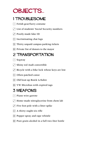## OBJECTS...

#### 1 Troublesome

- $\lceil \cdot \rceil$  Fetish gear/furry costume
- $\Gamma$  List of students' Social Security numbers
- $\overline{S}$  Poorly-made fake ID
- $\boxed{\therefore}$  Incriminating chat logs
- $\mathbb{E}$  Thirty unpaid campus parking tickets
- **Fig.** Private list of donors to the mayor

#### 2 Transportation

- $\lceil \cdot \rceil$  Segway
- $\Gamma$  Shiny red Audi convertible
- $\cdot$  Bicycle with a bike lock whose keys are lost
- $\left| \right|$  Often-patched canoe
- 5 Old beat-up Buick LeSabre
- **11 VW Microbus with expired tags**

#### 3 Weapons

- $\lceil \cdot \rceil$  Piano wire garrote
- $\cdot$  Home-made nitroglycerine from chem lab
- $\Gamma$  Five foot pole with a litter spike
- $\boxed{\therefore}$  A thirty-ought-six rifle
- $\mathbb{E}$  Pepper spray and rape whistle
- **Fill Pure grain alcohol in a full two-liter bottle**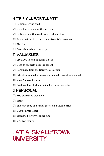#### 4 TRULY UNFORTUNATE

- $\lceil \cdot \rceil$  Roommate who died
- $\Gamma$  Deep budget cuts for the university
- $\ddot{\cdot}$  Failing grade that could cost a scholarship
- $\therefore$  Town petition to curtail the university's expansion
- $\mathbb{E}$  Tire fire
- $\mathbf{F}$  Errors in a school transcript

#### 5 Valuables

- $\lceil \cdot \rceil$  \$100,000 in non-sequential bills
- $[$ . Deed to property near the school
- $\ddot{\cdot}$  Rare maps from the library's collection
- $\therefore$  Pile of completed term papers (just add an author's name)
- **E** YMCA payroll checks
- **11** Bricks of hash hidden inside five large hay bales

#### 6 Personal

- $\lceil \cdot \rceil$  Mis-addressed love note
- $\Gamma$  Tattoo
- $\overline{3}$  The only copy of a senior thesis on a thumb drive
- **1**: Dad's Purple Heart
- 5 Tarnished silver wedding ring
- **1** STD test results